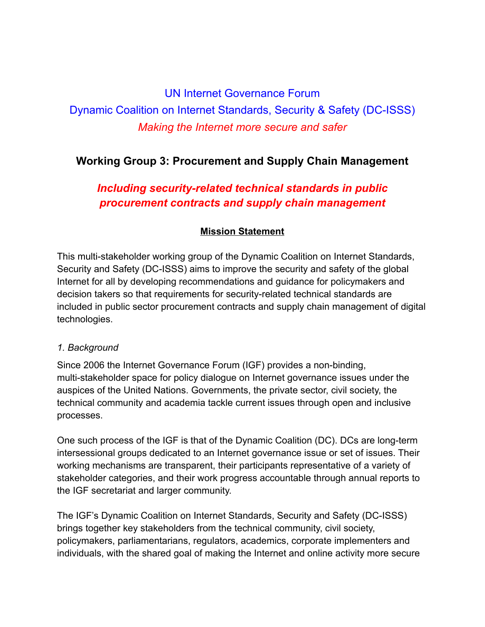## UN Internet Governance Forum

# Dynamic Coalition on Internet Standards, Security & Safety (DC-ISSS) *Making the Internet more secure and safer*

## **Working Group 3: Procurement and Supply Chain Management**

# *Including security-related technical standards in public procurement contracts and supply chain management*

### **Mission Statement**

This multi-stakeholder working group of the Dynamic Coalition on Internet Standards, Security and Safety (DC-ISSS) aims to improve the security and safety of the global Internet for all by developing recommendations and guidance for policymakers and decision takers so that requirements for security-related technical standards are included in public sector procurement contracts and supply chain management of digital technologies.

#### *1. Background*

Since 2006 the Internet Governance Forum (IGF) provides a non-binding, multi-stakeholder space for policy dialogue on Internet governance issues under the auspices of the United Nations. Governments, the private sector, civil society, the technical community and academia tackle current issues through open and inclusive processes.

One such process of the IGF is that of the Dynamic Coalition (DC). DCs are long-term intersessional groups dedicated to an Internet governance issue or set of issues. Their working mechanisms are transparent, their participants representative of a variety of stakeholder categories, and their work progress accountable through annual reports to the IGF secretariat and larger community.

The IGF's Dynamic Coalition on Internet Standards, Security and Safety (DC-ISSS) brings together key stakeholders from the technical community, civil society, policymakers, parliamentarians, regulators, academics, corporate implementers and individuals, with the shared goal of making the Internet and online activity more secure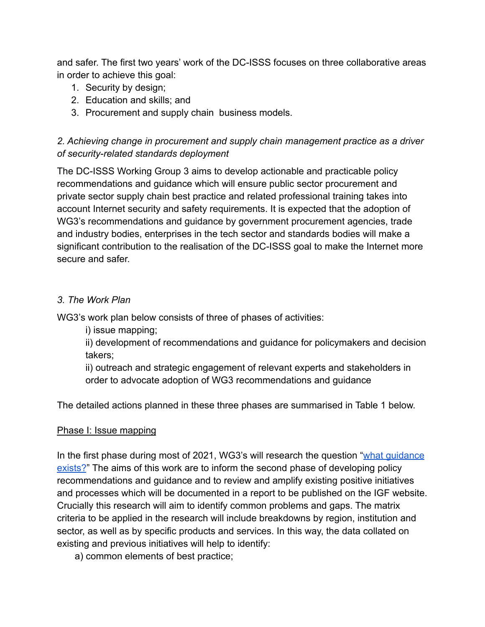and safer. The first two years' work of the DC-ISSS focuses on three collaborative areas in order to achieve this goal:

- 1. Security by design;
- 2. Education and skills; and
- 3. Procurement and supply chain business models.

## *2. Achieving change in procurement and supply chain management practice as a driver of security-related standards deployment*

The DC-ISSS Working Group 3 aims to develop actionable and practicable policy recommendations and guidance which will ensure public sector procurement and private sector supply chain best practice and related professional training takes into account Internet security and safety requirements. It is expected that the adoption of WG3's recommendations and guidance by government procurement agencies, trade and industry bodies, enterprises in the tech sector and standards bodies will make a significant contribution to the realisation of the DC-ISSS goal to make the Internet more secure and safer.

## *3. The Work Plan*

WG3's work plan below consists of three of phases of activities:

i) issue mapping;

ii) development of recommendations and guidance for policymakers and decision takers;

ii) outreach and strategic engagement of relevant experts and stakeholders in order to advocate adoption of WG3 recommendations and guidance

The detailed actions planned in these three phases are summarised in Table 1 below.

## Phase I: Issue mapping

In the first phase during most of 2021, WG3's will research the question "what guidance" exists?" The aims of this work are to inform the second phase of developing policy recommendations and guidance and to review and amplify existing positive initiatives and processes which will be documented in a report to be published on the IGF website. Crucially this research will aim to identify common problems and gaps. The matrix criteria to be applied in the research will include breakdowns by region, institution and sector, as well as by specific products and services. In this way, the data collated on existing and previous initiatives will help to identify:

a) common elements of best practice;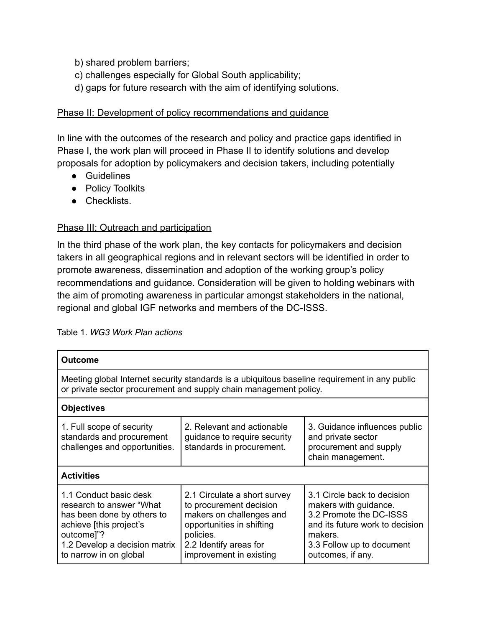- b) shared problem barriers;
- c) challenges especially for Global South applicability;
- d) gaps for future research with the aim of identifying solutions.

#### Phase II: Development of policy recommendations and guidance

In line with the outcomes of the research and policy and practice gaps identified in Phase I, the work plan will proceed in Phase II to identify solutions and develop proposals for adoption by policymakers and decision takers, including potentially

- Guidelines
- Policy Toolkits
- Checklists.

#### Phase III: Outreach and participation

In the third phase of the work plan, the key contacts for policymakers and decision takers in all geographical regions and in relevant sectors will be identified in order to promote awareness, dissemination and adoption of the working group's policy recommendations and guidance. Consideration will be given to holding webinars with the aim of promoting awareness in particular amongst stakeholders in the national, regional and global IGF networks and members of the DC-ISSS.

| <b>Outcome</b>                                                                                                                                                                       |                                                                                                                                                                                    |                                                                                                                                                                                 |  |
|--------------------------------------------------------------------------------------------------------------------------------------------------------------------------------------|------------------------------------------------------------------------------------------------------------------------------------------------------------------------------------|---------------------------------------------------------------------------------------------------------------------------------------------------------------------------------|--|
| Meeting global Internet security standards is a ubiquitous baseline requirement in any public<br>or private sector procurement and supply chain management policy.                   |                                                                                                                                                                                    |                                                                                                                                                                                 |  |
| <b>Objectives</b>                                                                                                                                                                    |                                                                                                                                                                                    |                                                                                                                                                                                 |  |
| 1. Full scope of security<br>standards and procurement<br>challenges and opportunities.                                                                                              | 2. Relevant and actionable<br>guidance to require security<br>standards in procurement.                                                                                            | 3. Guidance influences public<br>and private sector<br>procurement and supply<br>chain management.                                                                              |  |
| <b>Activities</b>                                                                                                                                                                    |                                                                                                                                                                                    |                                                                                                                                                                                 |  |
| 1.1 Conduct basic desk<br>research to answer "What<br>has been done by others to<br>achieve [this project's<br>outcome]"?<br>1.2 Develop a decision matrix<br>to narrow in on global | 2.1 Circulate a short survey<br>to procurement decision<br>makers on challenges and<br>opportunities in shifting<br>policies.<br>2.2 Identify areas for<br>improvement in existing | 3.1 Circle back to decision<br>makers with guidance.<br>3.2 Promote the DC-ISSS<br>and its future work to decision<br>makers.<br>3.3 Follow up to document<br>outcomes, if any. |  |

Table 1. *WG3 Work Plan actions*